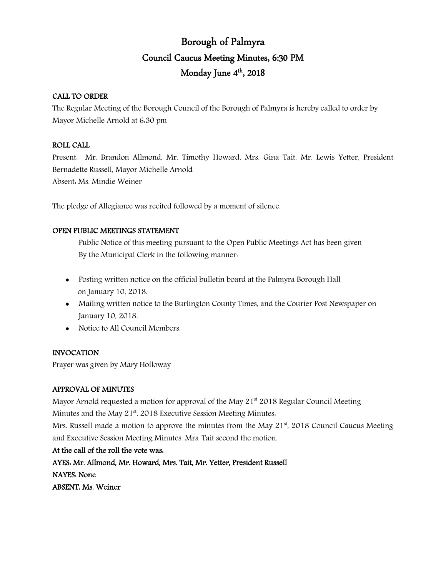# Borough of Palmyra Council Caucus Meeting Minutes, 6:30 PM Monday June 4<sup>th</sup>, 2018

### CALL TO ORDER

The Regular Meeting of the Borough Council of the Borough of Palmyra is hereby called to order by Mayor Michelle Arnold at 6:30 pm

# ROLL CALL

Present: Mr. Brandon Allmond, Mr. Timothy Howard, Mrs. Gina Tait, Mr. Lewis Yetter, President Bernadette Russell, Mayor Michelle Arnold Absent: Ms. Mindie Weiner

The pledge of Allegiance was recited followed by a moment of silence.

# OPEN PUBLIC MEETINGS STATEMENT

Public Notice of this meeting pursuant to the Open Public Meetings Act has been given By the Municipal Clerk in the following manner:

- Posting written notice on the official bulletin board at the Palmyra Borough Hall on January 10, 2018.
- Mailing written notice to the Burlington County Times, and the Courier Post Newspaper on January 10, 2018.
- Notice to All Council Members.

# INVOCATION

Prayer was given by Mary Holloway

# APPROVAL OF MINUTES

Mayor Arnold requested a motion for approval of the May  $21^{st}$  2018 Regular Council Meeting Minutes and the May  $21<sup>st</sup>$ , 2018 Executive Session Meeting Minutes.

Mrs. Russell made a motion to approve the minutes from the May  $21<sup>st</sup>$ , 2018 Council Caucus Meeting and Executive Session Meeting Minutes. Mrs. Tait second the motion.

At the call of the roll the vote was: AYES: Mr. Allmond, Mr. Howard, Mrs. Tait, Mr. Yetter, President Russell NAYES: None ABSENT: Ms. Weiner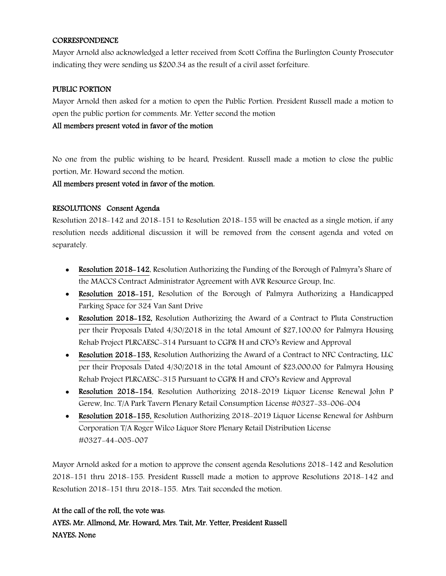#### CORRESPONDENCE

Mayor Arnold also acknowledged a letter received from Scott Coffina the Burlington County Prosecutor indicating they were sending us \$200.34 as the result of a civil asset forfeiture.

#### PUBLIC PORTION

Mayor Arnold then asked for a motion to open the Public Portion. President Russell made a motion to open the public portion for comments. Mr. Yetter second the motion

#### All members present voted in favor of the motion

No one from the public wishing to be heard, President. Russell made a motion to close the public portion, Mr. Howard second the motion.

All members present voted in favor of the motion.

### RESOLUTIONS Consent Agenda

Resolution 2018-142 and 2018-151 to Resolution 2018-155 will be enacted as a single motion, if any resolution needs additional discussion it will be removed from the consent agenda and voted on separately.

- Resolution 2018–142, Resolution Authorizing the Funding of the Borough of Palmyra's Share of the MACCS Contract Administrator Agreement with AVR Resource Group, Inc.
- Resolution 2018–151, Resolution of the Borough of Palmyra Authorizing a Handicapped Parking Space for 324 Van Sant Drive
- Resolution 2018–152, Resolution Authorizing the Award of a Contract to Pluta Construction per their Proposals Dated 4/30/2018 in the total Amount of \$27,100.00 for Palmyra Housing Rehab Project PLRCAESC-314 Pursuant to CGP& H and CFO's Review and Approval
- Resolution 2018–153, Resolution Authorizing the Award of a Contract to NFC Contracting, LLC per their Proposals Dated 4/30/2018 in the total Amount of \$23,000.00 for Palmyra Housing Rehab Project PLRCAESC-315 Pursuant to CGP& H and CFO's Review and Approval
- Resolution 2018-154, Resolution Authorizing 2018-2019 Liquor License Renewal John P Gerew, Inc. T/A Park Tavern Plenary Retail Consumption License #0327-33-006-004
- Resolution 2018-155, Resolution Authorizing 2018-2019 Liquor License Renewal for Ashburn Corporation T/A Roger Wilco Liquor Store Plenary Retail Distribution License #0327-44-005-007

Mayor Arnold asked for a motion to approve the consent agenda Resolutions 2018-142 and Resolution 2018-151 thru 2018-155. President Russell made a motion to approve Resolutions 2018-142 and Resolution 2018-151 thru 2018-155. Mrs. Tait seconded the motion.

#### At the call of the roll, the vote was:

AYES: Mr. Allmond, Mr. Howard, Mrs. Tait, Mr. Yetter, President Russell NAYES: None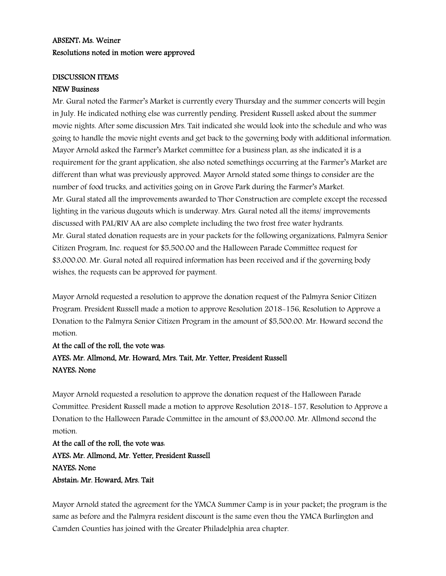# ABSENT: Ms. Weiner Resolutions noted in motion were approved

#### DISCUSSION ITEMS

#### NEW Business

Mr. Gural noted the Farmer's Market is currently every Thursday and the summer concerts will begin in July. He indicated nothing else was currently pending. President Russell asked about the summer movie nights. After some discussion Mrs. Tait indicated she would look into the schedule and who was going to handle the movie night events and get back to the governing body with additional information. Mayor Arnold asked the Farmer's Market committee for a business plan, as she indicated it is a requirement for the grant application, she also noted somethings occurring at the Farmer's Market are different than what was previously approved. Mayor Arnold stated some things to consider are the number of food trucks, and activities going on in Grove Park during the Farmer's Market. Mr. Gural stated all the improvements awarded to Thor Construction are complete except the recessed lighting in the various dugouts which is underway. Mrs. Gural noted all the items/ improvements discussed with PAL/RIV AA are also complete including the two frost free water hydrants. Mr. Gural stated donation requests are in your packets for the following organizations, Palmyra Senior Citizen Program, Inc. request for \$5,500.00 and the Halloween Parade Committee request for \$3,000.00. Mr. Gural noted all required information has been received and if the governing body wishes, the requests can be approved for payment.

Mayor Arnold requested a resolution to approve the donation request of the Palmyra Senior Citizen Program. President Russell made a motion to approve Resolution 2018-156, Resolution to Approve a Donation to the Palmyra Senior Citizen Program in the amount of \$5,500.00. Mr. Howard second the motion.

# At the call of the roll, the vote was: AYES: Mr. Allmond, Mr. Howard, Mrs. Tait, Mr. Yetter, President Russell NAYES: None

Mayor Arnold requested a resolution to approve the donation request of the Halloween Parade Committee. President Russell made a motion to approve Resolution 2018-157, Resolution to Approve a Donation to the Halloween Parade Committee in the amount of \$3,000.00. Mr. Allmond second the motion.

At the call of the roll, the vote was: AYES: Mr. Allmond, Mr. Yetter, President Russell NAYES: None Abstain: Mr. Howard, Mrs. Tait

Mayor Arnold stated the agreement for the YMCA Summer Camp is in your packet; the program is the same as before and the Palmyra resident discount is the same even thou the YMCA Burlington and Camden Counties has joined with the Greater Philadelphia area chapter.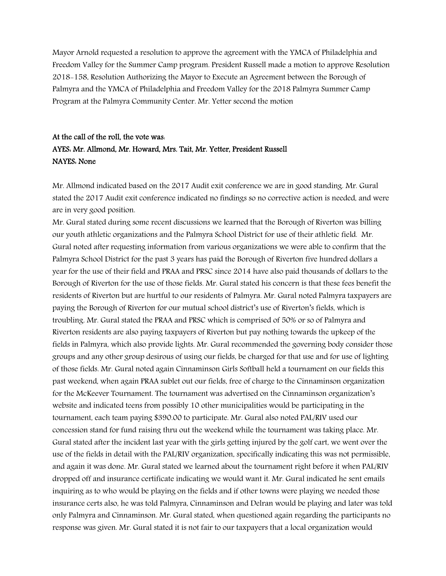Mayor Arnold requested a resolution to approve the agreement with the YMCA of Philadelphia and Freedom Valley for the Summer Camp program. President Russell made a motion to approve Resolution 2018-158, Resolution Authorizing the Mayor to Execute an Agreement between the Borough of Palmyra and the YMCA of Philadelphia and Freedom Valley for the 2018 Palmyra Summer Camp Program at the Palmyra Community Center. Mr. Yetter second the motion

# At the call of the roll, the vote was: AYES: Mr. Allmond, Mr. Howard, Mrs. Tait, Mr. Yetter, President Russell NAYES: None

Mr. Allmond indicated based on the 2017 Audit exit conference we are in good standing. Mr. Gural stated the 2017 Audit exit conference indicated no findings so no corrective action is needed, and were are in very good position.

Mr. Gural stated during some recent discussions we learned that the Borough of Riverton was billing our youth athletic organizations and the Palmyra School District for use of their athletic field. Mr. Gural noted after requesting information from various organizations we were able to confirm that the Palmyra School District for the past 3 years has paid the Borough of Riverton five hundred dollars a year for the use of their field and PRAA and PRSC since 2014 have also paid thousands of dollars to the Borough of Riverton for the use of those fields. Mr. Gural stated his concern is that these fees benefit the residents of Riverton but are hurtful to our residents of Palmyra. Mr. Gural noted Palmyra taxpayers are paying the Borough of Riverton for our mutual school district's use of Riverton's fields, which is troubling. Mr. Gural stated the PRAA and PRSC which is comprised of 50% or so of Palmyra and Riverton residents are also paying taxpayers of Riverton but pay nothing towards the upkeep of the fields in Palmyra, which also provide lights. Mr. Gural recommended the governing body consider those groups and any other group desirous of using our fields, be charged for that use and for use of lighting of those fields. Mr. Gural noted again Cinnaminson Girls Softball held a tournament on our fields this past weekend, when again PRAA sublet out our fields, free of charge to the Cinnaminson organization for the McKeever Tournament. The tournament was advertised on the Cinnaminson organization's website and indicated teens from possibly 10 other municipalities would be participating in the tournament, each team paying \$390.00 to participate. Mr. Gural also noted PAL/RIV used our concession stand for fund raising thru out the weekend while the tournament was taking place. Mr. Gural stated after the incident last year with the girls getting injured by the golf cart, we went over the use of the fields in detail with the PAL/RIV organization, specifically indicating this was not permissible, and again it was done. Mr. Gural stated we learned about the tournament right before it when PAL/RIV dropped off and insurance certificate indicating we would want it. Mr. Gural indicated he sent emails inquiring as to who would be playing on the fields and if other towns were playing we needed those insurance certs also, he was told Palmyra, Cinnaminson and Delran would be playing and later was told only Palmyra and Cinnaminson. Mr. Gural stated, when questioned again regarding the participants no response was given. Mr. Gural stated it is not fair to our taxpayers that a local organization would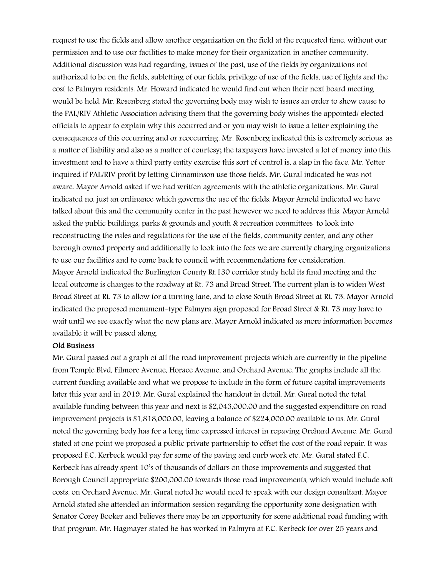request to use the fields and allow another organization on the field at the requested time, without our permission and to use our facilities to make money for their organization in another community. Additional discussion was had regarding, issues of the past, use of the fields by organizations not authorized to be on the fields, subletting of our fields, privilege of use of the fields, use of lights and the cost to Palmyra residents. Mr. Howard indicated he would find out when their next board meeting would be held. Mr. Rosenberg stated the governing body may wish to issues an order to show cause to the PAL/RIV Athletic Association advising them that the governing body wishes the appointed/ elected officials to appear to explain why this occurred and or you may wish to issue a letter explaining the consequences of this occurring and or reoccurring. Mr. Rosenberg indicated this is extremely serious, as a matter of liability and also as a matter of courtesy; the taxpayers have invested a lot of money into this investment and to have a third party entity exercise this sort of control is, a slap in the face. Mr. Yetter inquired if PAL/RIV profit by letting Cinnaminson use those fields. Mr. Gural indicated he was not aware. Mayor Arnold asked if we had written agreements with the athletic organizations. Mr. Gural indicated no, just an ordinance which governs the use of the fields. Mayor Arnold indicated we have talked about this and the community center in the past however we need to address this. Mayor Arnold asked the public buildings, parks & grounds and youth & recreation committees to look into reconstructing the rules and regulations for the use of the fields, community center, and any other borough owned property and additionally to look into the fees we are currently charging organizations to use our facilities and to come back to council with recommendations for consideration. Mayor Arnold indicated the Burlington County Rt.130 corridor study held its final meeting and the local outcome is changes to the roadway at Rt. 73 and Broad Street. The current plan is to widen West Broad Street at Rt. 73 to allow for a turning lane, and to close South Broad Street at Rt. 73. Mayor Arnold indicated the proposed monument-type Palmyra sign proposed for Broad Street & Rt. 73 may have to wait until we see exactly what the new plans are. Mayor Arnold indicated as more information becomes available it will be passed along.

#### Old Business

Mr. Gural passed out a graph of all the road improvement projects which are currently in the pipeline from Temple Blvd, Filmore Avenue, Horace Avenue, and Orchard Avenue. The graphs include all the current funding available and what we propose to include in the form of future capital improvements later this year and in 2019. Mr. Gural explained the handout in detail. Mr. Gural noted the total available funding between this year and next is \$2,043,000.00 and the suggested expenditure on road improvement projects is \$1,818,000.00, leaving a balance of \$224,000.00 available to us. Mr. Gural noted the governing body has for a long time expressed interest in repaving Orchard Avenue. Mr. Gural stated at one point we proposed a public private partnership to offset the cost of the road repair. It was proposed F.C. Kerbeck would pay for some of the paving and curb work etc. Mr. Gural stated F.C. Kerbeck has already spent 10's of thousands of dollars on those improvements and suggested that Borough Council appropriate \$200,000.00 towards those road improvements, which would include soft costs, on Orchard Avenue. Mr. Gural noted he would need to speak with our design consultant. Mayor Arnold stated she attended an information session regarding the opportunity zone designation with Senator Corey Booker and believes there may be an opportunity for some additional road funding with that program. Mr. Hagmayer stated he has worked in Palmyra at F.C. Kerbeck for over 25 years and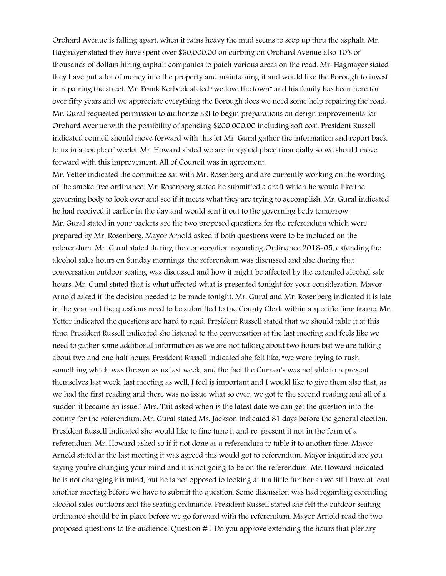Orchard Avenue is falling apart, when it rains heavy the mud seems to seep up thru the asphalt. Mr. Hagmayer stated they have spent over \$60,000.00 on curbing on Orchard Avenue also 10's of thousands of dollars hiring asphalt companies to patch various areas on the road. Mr. Hagmayer stated they have put a lot of money into the property and maintaining it and would like the Borough to invest in repairing the street. Mr. Frank Kerbeck stated "we love the town" and his family has been here for over fifty years and we appreciate everything the Borough does we need some help repairing the road. Mr. Gural requested permission to authorize ERI to begin preparations on design improvements for Orchard Avenue with the possibility of spending \$200,000.00 including soft cost. President Russell indicated council should move forward with this let Mr. Gural gather the information and report back to us in a couple of weeks. Mr. Howard stated we are in a good place financially so we should move forward with this improvement. All of Council was in agreement.

Mr. Yetter indicated the committee sat with Mr. Rosenberg and are currently working on the wording of the smoke free ordinance. Mr. Rosenberg stated he submitted a draft which he would like the governing body to look over and see if it meets what they are trying to accomplish. Mr. Gural indicated he had received it earlier in the day and would sent it out to the governing body tomorrow. Mr. Gural stated in your packets are the two proposed questions for the referendum which were prepared by Mr. Rosenberg. Mayor Arnold asked if both questions were to be included on the referendum. Mr. Gural stated during the conversation regarding Ordinance 2018-05, extending the alcohol sales hours on Sunday mornings, the referendum was discussed and also during that conversation outdoor seating was discussed and how it might be affected by the extended alcohol sale hours. Mr. Gural stated that is what affected what is presented tonight for your consideration. Mayor Arnold asked if the decision needed to be made tonight. Mr. Gural and Mr. Rosenberg indicated it is late in the year and the questions need to be submitted to the County Clerk within a specific time frame. Mr. Yetter indicated the questions are hard to read. President Russell stated that we should table it at this time. President Russell indicated she listened to the conversation at the last meeting and feels like we need to gather some additional information as we are not talking about two hours but we are talking about two and one half hours. President Russell indicated she felt like, "we were trying to rush something which was thrown as us last week, and the fact the Curran's was not able to represent themselves last week, last meeting as well, I feel is important and I would like to give them also that, as we had the first reading and there was no issue what so ever, we got to the second reading and all of a sudden it became an issue." Mrs. Tait asked when is the latest date we can get the question into the county for the referendum. Mr. Gural stated Ms. Jackson indicated 81 days before the general election. President Russell indicated she would like to fine tune it and re-present it not in the form of a referendum. Mr. Howard asked so if it not done as a referendum to table it to another time. Mayor Arnold stated at the last meeting it was agreed this would got to referendum. Mayor inquired are you saying you're changing your mind and it is not going to be on the referendum. Mr. Howard indicated he is not changing his mind, but he is not opposed to looking at it a little further as we still have at least another meeting before we have to submit the question. Some discussion was had regarding extending alcohol sales outdoors and the seating ordinance. President Russell stated she felt the outdoor seating ordinance should be in place before we go forward with the referendum. Mayor Arnold read the two proposed questions to the audience. Question #1 Do you approve extending the hours that plenary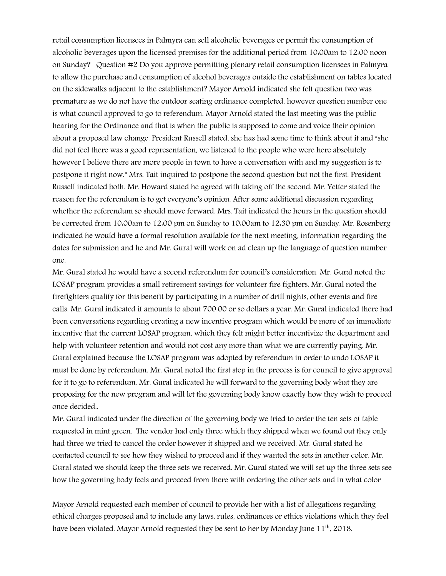retail consumption licensees in Palmyra can sell alcoholic beverages or permit the consumption of alcoholic beverages upon the licensed premises for the additional period from 10:00am to 12:00 noon on Sunday? Question #2 Do you approve permitting plenary retail consumption licensees in Palmyra to allow the purchase and consumption of alcohol beverages outside the establishment on tables located on the sidewalks adjacent to the establishment? Mayor Arnold indicated she felt question two was premature as we do not have the outdoor seating ordinance completed, however question number one is what council approved to go to referendum. Mayor Arnold stated the last meeting was the public hearing for the Ordinance and that is when the public is supposed to come and voice their opinion about a proposed law change. President Russell stated, she has had some time to think about it and "she did not feel there was a good representation, we listened to the people who were here absolutely however I believe there are more people in town to have a conversation with and my suggestion is to postpone it right now." Mrs. Tait inquired to postpone the second question but not the first. President Russell indicated both. Mr. Howard stated he agreed with taking off the second. Mr. Yetter stated the reason for the referendum is to get everyone's opinion. After some additional discussion regarding whether the referendum so should move forward. Mrs. Tait indicated the hours in the question should be corrected from 10:00am to 12:00 pm on Sunday to 10:00am to 12:30 pm on Sunday. Mr. Rosenberg indicated he would have a formal resolution available for the next meeting, information regarding the dates for submission and he and Mr. Gural will work on ad clean up the language of question number one.

Mr. Gural stated he would have a second referendum for council's consideration. Mr. Gural noted the LOSAP program provides a small retirement savings for volunteer fire fighters. Mr. Gural noted the firefighters qualify for this benefit by participating in a number of drill nights, other events and fire calls. Mr. Gural indicated it amounts to about 700.00 or so dollars a year. Mr. Gural indicated there had been conversations regarding creating a new incentive program which would be more of an immediate incentive that the current LOSAP program, which they felt might better incentivize the department and help with volunteer retention and would not cost any more than what we are currently paying. Mr. Gural explained because the LOSAP program was adopted by referendum in order to undo LOSAP it must be done by referendum. Mr. Gural noted the first step in the process is for council to give approval for it to go to referendum. Mr. Gural indicated he will forward to the governing body what they are proposing for the new program and will let the governing body know exactly how they wish to proceed once decided..

Mr. Gural indicated under the direction of the governing body we tried to order the ten sets of table requested in mint green. The vendor had only three which they shipped when we found out they only had three we tried to cancel the order however it shipped and we received. Mr. Gural stated he contacted council to see how they wished to proceed and if they wanted the sets in another color. Mr. Gural stated we should keep the three sets we received. Mr. Gural stated we will set up the three sets see how the governing body feels and proceed from there with ordering the other sets and in what color

Mayor Arnold requested each member of council to provide her with a list of allegations regarding ethical charges proposed and to include any laws, rules, ordinances or ethics violations which they feel have been violated. Mayor Arnold requested they be sent to her by Monday June 11<sup>th</sup>, 2018.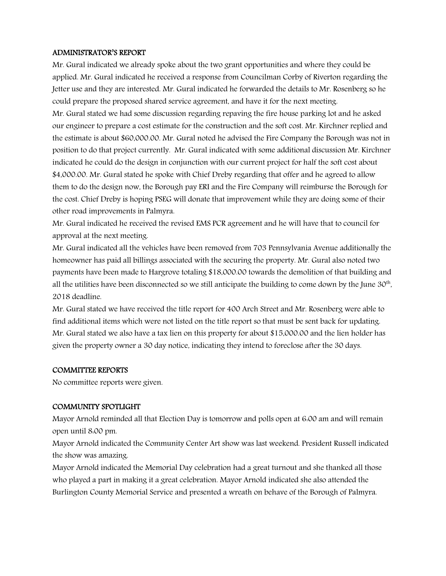#### ADMINISTRATOR'S REPORT

Mr. Gural indicated we already spoke about the two grant opportunities and where they could be applied. Mr. Gural indicated he received a response from Councilman Corby of Riverton regarding the Jetter use and they are interested. Mr. Gural indicated he forwarded the details to Mr. Rosenberg so he could prepare the proposed shared service agreement, and have it for the next meeting.

Mr. Gural stated we had some discussion regarding repaving the fire house parking lot and he asked our engineer to prepare a cost estimate for the construction and the soft cost. Mr. Kirchner replied and the estimate is about \$60,000.00. Mr. Gural noted he advised the Fire Company the Borough was not in position to do that project currently. Mr. Gural indicated with some additional discussion Mr. Kirchner indicated he could do the design in conjunction with our current project for half the soft cost about \$4,000.00. Mr. Gural stated he spoke with Chief Dreby regarding that offer and he agreed to allow them to do the design now, the Borough pay ERI and the Fire Company will reimburse the Borough for the cost. Chief Dreby is hoping PSEG will donate that improvement while they are doing some of their other road improvements in Palmyra.

Mr. Gural indicated he received the revised EMS PCR agreement and he will have that to council for approval at the next meeting.

Mr. Gural indicated all the vehicles have been removed from 703 Pennsylvania Avenue additionally the homeowner has paid all billings associated with the securing the property. Mr. Gural also noted two payments have been made to Hargrove totaling \$18,000.00 towards the demolition of that building and all the utilities have been disconnected so we still anticipate the building to come down by the June 30th, 2018 deadline.

Mr. Gural stated we have received the title report for 400 Arch Street and Mr. Rosenberg were able to find additional items which were not listed on the title report so that must be sent back for updating. Mr. Gural stated we also have a tax lien on this property for about \$15,000.00 and the lien holder has given the property owner a 30 day notice, indicating they intend to foreclose after the 30 days.

#### COMMITTEE REPORTS

No committee reports were given.

### COMMUNITY SPOTLIGHT

Mayor Arnold reminded all that Election Day is tomorrow and polls open at 6:00 am and will remain open until 8:00 pm.

Mayor Arnold indicated the Community Center Art show was last weekend. President Russell indicated the show was amazing.

Mayor Arnold indicated the Memorial Day celebration had a great turnout and she thanked all those who played a part in making it a great celebration. Mayor Arnold indicated she also attended the Burlington County Memorial Service and presented a wreath on behave of the Borough of Palmyra.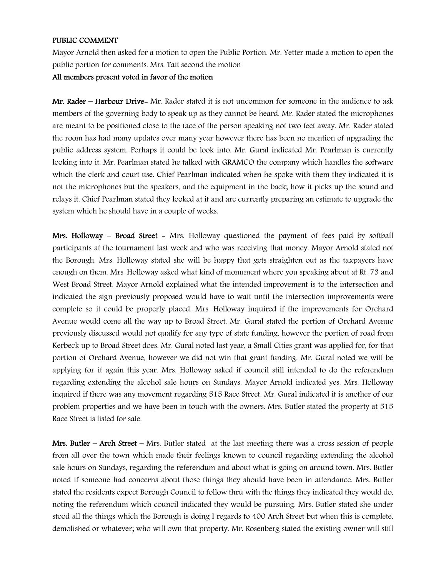#### PUBLIC COMMENT

Mayor Arnold then asked for a motion to open the Public Portion. Mr. Yetter made a motion to open the public portion for comments. Mrs. Tait second the motion

#### All members present voted in favor of the motion

Mr. Rader – Harbour Drive– Mr. Rader stated it is not uncommon for someone in the audience to ask members of the governing body to speak up as they cannot be heard. Mr. Rader stated the microphones are meant to be positioned close to the face of the person speaking not two feet away. Mr. Rader stated the room has had many updates over many year however there has been no mention of upgrading the public address system. Perhaps it could be look into. Mr. Gural indicated Mr. Pearlman is currently looking into it. Mr. Pearlman stated he talked with GRAMCO the company which handles the software which the clerk and court use. Chief Pearlman indicated when he spoke with them they indicated it is not the microphones but the speakers, and the equipment in the back; how it picks up the sound and relays it. Chief Pearlman stated they looked at it and are currently preparing an estimate to upgrade the system which he should have in a couple of weeks.

Mrs. Holloway – Broad Street – Mrs. Holloway questioned the payment of fees paid by softball participants at the tournament last week and who was receiving that money. Mayor Arnold stated not the Borough. Mrs. Holloway stated she will be happy that gets straighten out as the taxpayers have enough on them. Mrs. Holloway asked what kind of monument where you speaking about at Rt. 73 and West Broad Street. Mayor Arnold explained what the intended improvement is to the intersection and indicated the sign previously proposed would have to wait until the intersection improvements were complete so it could be properly placed. Mrs. Holloway inquired if the improvements for Orchard Avenue would come all the way up to Broad Street. Mr. Gural stated the portion of Orchard Avenue previously discussed would not qualify for any type of state funding, however the portion of road from Kerbeck up to Broad Street does. Mr. Gural noted last year, a Small Cities grant was applied for, for that portion of Orchard Avenue, however we did not win that grant funding. Mr. Gural noted we will be applying for it again this year. Mrs. Holloway asked if council still intended to do the referendum regarding extending the alcohol sale hours on Sundays. Mayor Arnold indicated yes. Mrs. Holloway inquired if there was any movement regarding 515 Race Street. Mr. Gural indicated it is another of our problem properties and we have been in touch with the owners. Mrs. Butler stated the property at 515 Race Street is listed for sale.

Mrs. Butler – Arch Street – Mrs. Butler stated at the last meeting there was a cross session of people from all over the town which made their feelings known to council regarding extending the alcohol sale hours on Sundays, regarding the referendum and about what is going on around town. Mrs. Butler noted if someone had concerns about those things they should have been in attendance. Mrs. Butler stated the residents expect Borough Council to follow thru with the things they indicated they would do, noting the referendum which council indicated they would be pursuing. Mrs. Butler stated she under stood all the things which the Borough is doing I regards to 400 Arch Street but when this is complete, demolished or whatever; who will own that property. Mr. Rosenberg stated the existing owner will still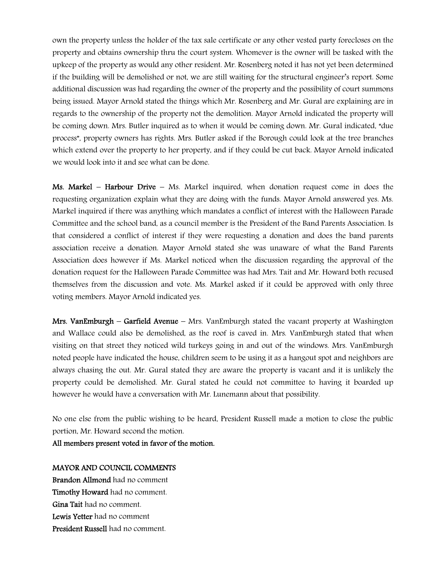own the property unless the holder of the tax sale certificate or any other vested party forecloses on the property and obtains ownership thru the court system. Whomever is the owner will be tasked with the upkeep of the property as would any other resident. Mr. Rosenberg noted it has not yet been determined if the building will be demolished or not, we are still waiting for the structural engineer's report. Some additional discussion was had regarding the owner of the property and the possibility of court summons being issued. Mayor Arnold stated the things which Mr. Rosenberg and Mr. Gural are explaining are in regards to the ownership of the property not the demolition. Mayor Arnold indicated the property will be coming down. Mrs. Butler inquired as to when it would be coming down. Mr. Gural indicated, "due process", property owners has rights. Mrs. Butler asked if the Borough could look at the tree branches which extend over the property to her property, and if they could be cut back. Mayor Arnold indicated we would look into it and see what can be done.

**Ms. Markel – Harbour Drive –** Ms. Markel inquired, when donation request come in does the requesting organization explain what they are doing with the funds. Mayor Arnold answered yes. Ms. Markel inquired if there was anything which mandates a conflict of interest with the Halloween Parade Committee and the school band, as a council member is the President of the Band Parents Association. Is that considered a conflict of interest if they were requesting a donation and does the band parents association receive a donation. Mayor Arnold stated she was unaware of what the Band Parents Association does however if Ms. Markel noticed when the discussion regarding the approval of the donation request for the Halloween Parade Committee was had Mrs. Tait and Mr. Howard both recused themselves from the discussion and vote. Ms. Markel asked if it could be approved with only three voting members. Mayor Arnold indicated yes.

Mrs. VanEmburgh – Garfield Avenue – Mrs. VanEmburgh stated the vacant property at Washington and Wallace could also be demolished, as the roof is caved in. Mrs. VanEmburgh stated that when visiting on that street they noticed wild turkeys going in and out of the windows. Mrs. VanEmburgh noted people have indicated the house, children seem to be using it as a hangout spot and neighbors are always chasing the out. Mr. Gural stated they are aware the property is vacant and it is unlikely the property could be demolished. Mr. Gural stated he could not committee to having it boarded up however he would have a conversation with Mr. Lunemann about that possibility.

No one else from the public wishing to be heard, President Russell made a motion to close the public portion, Mr. Howard second the motion.

All members present voted in favor of the motion.

#### MAYOR AND COUNCIL COMMENTS

Brandon Allmond had no comment Timothy Howard had no comment. Gina Tait had no comment. Lewis Yetter had no comment President Russell had no comment.